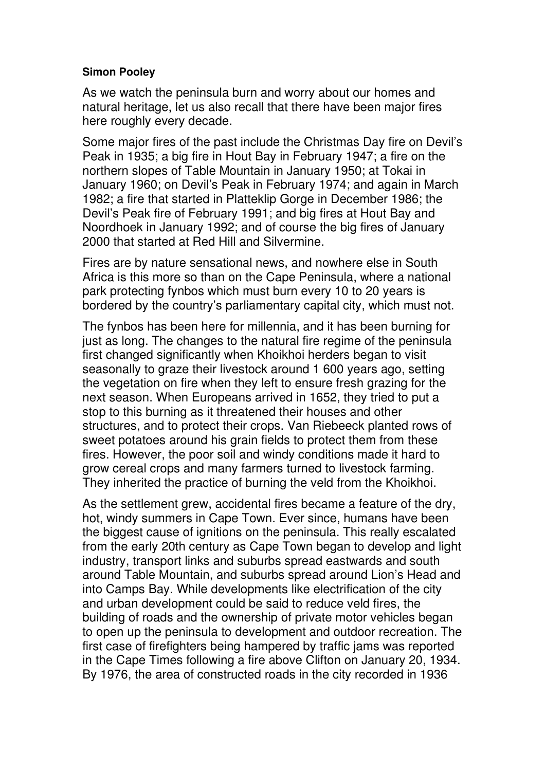## **Simon Pooley**

As we watch the peninsula burn and worry about our homes and natural heritage, let us also recall that there have been major fires here roughly every decade.

Some major fires of the past include the Christmas Day fire on Devil's Peak in 1935; a big fire in Hout Bay in February 1947; a fire on the northern slopes of Table Mountain in January 1950; at Tokai in January 1960; on Devil's Peak in February 1974; and again in March 1982; a fire that started in Platteklip Gorge in December 1986; the Devil's Peak fire of February 1991; and big fires at Hout Bay and Noordhoek in January 1992; and of course the big fires of January 2000 that started at Red Hill and Silvermine.

Fires are by nature sensational news, and nowhere else in South Africa is this more so than on the Cape Peninsula, where a national park protecting fynbos which must burn every 10 to 20 years is bordered by the country's parliamentary capital city, which must not.

The fynbos has been here for millennia, and it has been burning for just as long. The changes to the natural fire regime of the peninsula first changed significantly when Khoikhoi herders began to visit seasonally to graze their livestock around 1 600 years ago, setting the vegetation on fire when they left to ensure fresh grazing for the next season. When Europeans arrived in 1652, they tried to put a stop to this burning as it threatened their houses and other structures, and to protect their crops. Van Riebeeck planted rows of sweet potatoes around his grain fields to protect them from these fires. However, the poor soil and windy conditions made it hard to grow cereal crops and many farmers turned to livestock farming. They inherited the practice of burning the veld from the Khoikhoi.

As the settlement grew, accidental fires became a feature of the dry, hot, windy summers in Cape Town. Ever since, humans have been the biggest cause of ignitions on the peninsula. This really escalated from the early 20th century as Cape Town began to develop and light industry, transport links and suburbs spread eastwards and south around Table Mountain, and suburbs spread around Lion's Head and into Camps Bay. While developments like electrification of the city and urban development could be said to reduce veld fires, the building of roads and the ownership of private motor vehicles began to open up the peninsula to development and outdoor recreation. The first case of firefighters being hampered by traffic jams was reported in the Cape Times following a fire above Clifton on January 20, 1934. By 1976, the area of constructed roads in the city recorded in 1936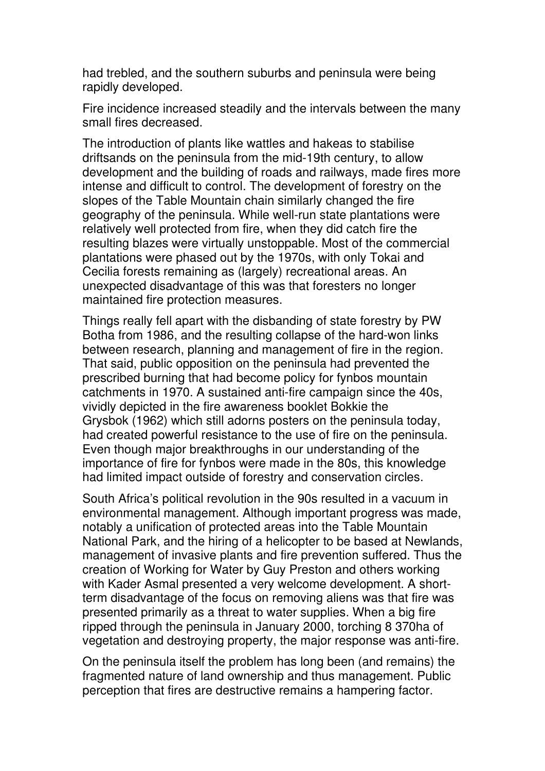had trebled, and the southern suburbs and peninsula were being rapidly developed.

Fire incidence increased steadily and the intervals between the many small fires decreased.

The introduction of plants like wattles and hakeas to stabilise driftsands on the peninsula from the mid-19th century, to allow development and the building of roads and railways, made fires more intense and difficult to control. The development of forestry on the slopes of the Table Mountain chain similarly changed the fire geography of the peninsula. While well-run state plantations were relatively well protected from fire, when they did catch fire the resulting blazes were virtually unstoppable. Most of the commercial plantations were phased out by the 1970s, with only Tokai and Cecilia forests remaining as (largely) recreational areas. An unexpected disadvantage of this was that foresters no longer maintained fire protection measures.

Things really fell apart with the disbanding of state forestry by PW Botha from 1986, and the resulting collapse of the hard-won links between research, planning and management of fire in the region. That said, public opposition on the peninsula had prevented the prescribed burning that had become policy for fynbos mountain catchments in 1970. A sustained anti-fire campaign since the 40s, vividly depicted in the fire awareness booklet Bokkie the Grysbok (1962) which still adorns posters on the peninsula today, had created powerful resistance to the use of fire on the peninsula. Even though major breakthroughs in our understanding of the importance of fire for fynbos were made in the 80s, this knowledge had limited impact outside of forestry and conservation circles.

South Africa's political revolution in the 90s resulted in a vacuum in environmental management. Although important progress was made, notably a unification of protected areas into the Table Mountain National Park, and the hiring of a helicopter to be based at Newlands, management of invasive plants and fire prevention suffered. Thus the creation of Working for Water by Guy Preston and others working with Kader Asmal presented a very welcome development. A shortterm disadvantage of the focus on removing aliens was that fire was presented primarily as a threat to water supplies. When a big fire ripped through the peninsula in January 2000, torching 8 370ha of vegetation and destroying property, the major response was anti-fire.

On the peninsula itself the problem has long been (and remains) the fragmented nature of land ownership and thus management. Public perception that fires are destructive remains a hampering factor.